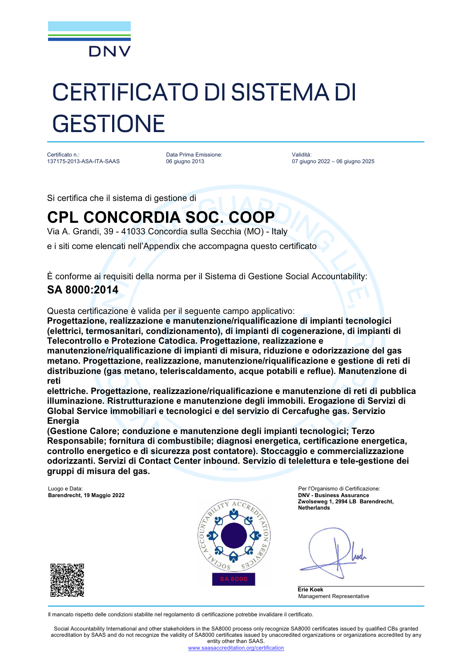

# CERTIFICATO DI SISTEMA DI **GESTIONE**

Certificato n.: 137175-2013-ASA-ITA-SAAS

Data Prima Emissione: 06 giugno 2013

Validità: 07 giugno 2022 – 06 giugno 2025

Si certifica che il sistema di gestione di

## **CPL CONCORDIA SOC. COOP**

Via A. Grandi, 39 - 41033 Concordia sulla Secchia (MO) - Italy

e i siti come elencati nell'Appendix che accompagna questo certificato

È conforme ai requisiti della norma per il Sistema di Gestione Social Accountability:

### **SA 8000:2014**

Questa certificazione è valida per il seguente campo applicativo:

**Progettazione, realizzazione e manutenzione/riqualificazione di impianti tecnologici (elettrici, termosanitari, condizionamento), di impianti di cogenerazione, di impianti di Telecontrollo e Protezione Catodica. Progettazione, realizzazione e**

**manutenzione/riqualificazione di impianti di misura, riduzione e odorizzazione del gas metano. Progettazione, realizzazione, manutenzione/riqualificazione e gestione di reti di distribuzione (gas metano, teleriscaldamento, acque potabili e reflue). Manutenzione di reti**

**elettriche. Progettazione, realizzazione/riqualificazione e manutenzione di reti di pubblica illuminazione. Ristrutturazione e manutenzione degli immobili. Erogazione di Servizi di Global Service immobiliari e tecnologici e del servizio di Cercafughe gas. Servizio Energia**

**(Gestione Calore; conduzione e manutenzione degli impianti tecnologici; Terzo Responsabile; fornitura di combustibile; diagnosi energetica, certificazione energetica, controllo energetico e di sicurezza post contatore). Stoccaggio e commercializzazione odorizzanti. Servizi di Contact Center inbound. Servizio di telelettura e tele-gestione dei gruppi di misura del gas.**

**Barendrecht, 19 Maggio 2022** 



Luogo e Data: Per l'Organismo di Certificazione: **Zwolseweg 1, 2994 LB Barendrecht, Netherlands**

Anel



Il mancato rispetto delle condizioni stabilite nel regolamento di certificazione potrebbe invalidare il certificato.

Social Accountability International and other stakeholders in the SA8000 process only recognize SA8000 certificates issued by qualified CBs granted accreditation by SAAS and do not recognize the validity of SA8000 certificates issued by unaccredited organizations or organizations accredited by any entity other than SAAS.

editation.org/certification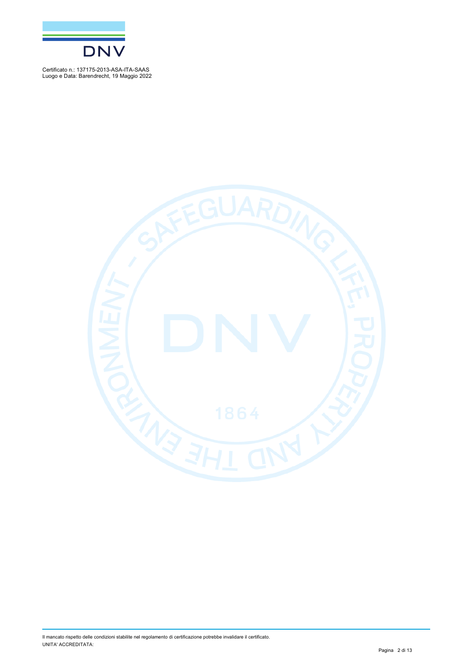

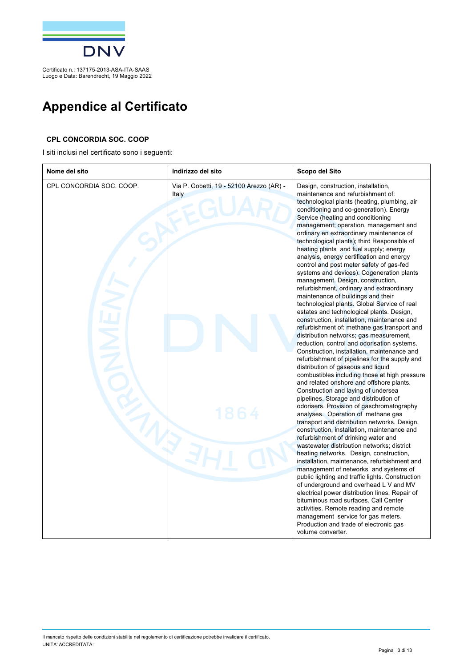

## **Appendice al Certificato**

#### **CPL CONCORDIA SOC. COOP**

I siti inclusi nel certificato sono i seguenti:

| Nome del sito            | Indirizzo del sito                                | Scopo del Sito                                                                                                                                                                                                                                                                                                                                                                                                                                                                                                                                                                                                                                                                                                                                                                                                                                                                                                                                                                                                                                                                                                                                                                                                                                                                                                                                                                                                                                                                                                                                                                                                                                                                                                                                                                                                                                                                                                                                                                                                  |
|--------------------------|---------------------------------------------------|-----------------------------------------------------------------------------------------------------------------------------------------------------------------------------------------------------------------------------------------------------------------------------------------------------------------------------------------------------------------------------------------------------------------------------------------------------------------------------------------------------------------------------------------------------------------------------------------------------------------------------------------------------------------------------------------------------------------------------------------------------------------------------------------------------------------------------------------------------------------------------------------------------------------------------------------------------------------------------------------------------------------------------------------------------------------------------------------------------------------------------------------------------------------------------------------------------------------------------------------------------------------------------------------------------------------------------------------------------------------------------------------------------------------------------------------------------------------------------------------------------------------------------------------------------------------------------------------------------------------------------------------------------------------------------------------------------------------------------------------------------------------------------------------------------------------------------------------------------------------------------------------------------------------------------------------------------------------------------------------------------------------|
| CPL CONCORDIA SOC. COOP. | Via P. Gobetti, 19 - 52100 Arezzo (AR) -<br>Italy | Design, construction, installation,<br>maintenance and refurbishment of:<br>technological plants (heating, plumbing, air<br>conditioning and co-generation). Energy<br>Service (heating and conditioning<br>management; operation, management and<br>ordinary en extraordinary maintenance of<br>technological plants); third Responsible of<br>heating plants and fuel supply; energy<br>analysis, energy certification and energy<br>control and post meter safety of gas-fed<br>systems and devices). Cogeneration plants<br>management. Design, construction,<br>refurbishment, ordinary and extraordinary<br>maintenance of buildings and their<br>technological plants. Global Service of real<br>estates and technological plants. Design,<br>construction, installation, maintenance and<br>refurbishment of: methane gas transport and<br>distribution networks; gas measurement,<br>reduction, control and odorisation systems.<br>Construction, installation, maintenance and<br>refurbishment of pipelines for the supply and<br>distribution of gaseous and liquid<br>combustibles including those at high pressure<br>and related onshore and offshore plants.<br>Construction and laying of undersea<br>pipelines. Storage and distribution of<br>odorisers. Provision of gaschromatography<br>analyses. Operation of methane gas<br>transport and distribution networks. Design,<br>construction, installation, maintenance and<br>refurbishment of drinking water and<br>wastewater distribution networks; district<br>heating networks. Design, construction,<br>installation, maintenance, refurbishment and<br>management of networks and systems of<br>public lighting and traffic lights. Construction<br>of underground and overhead L V and MV<br>electrical power distribution lines. Repair of<br>bituminous road surfaces. Call Center<br>activities. Remote reading and remote<br>management service for gas meters.<br>Production and trade of electronic gas<br>volume converter. |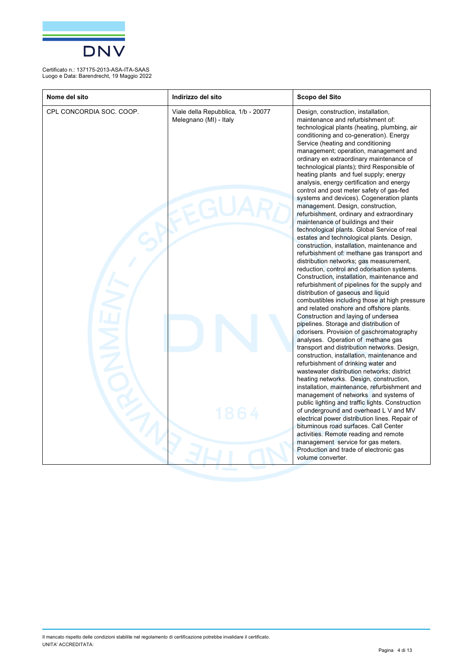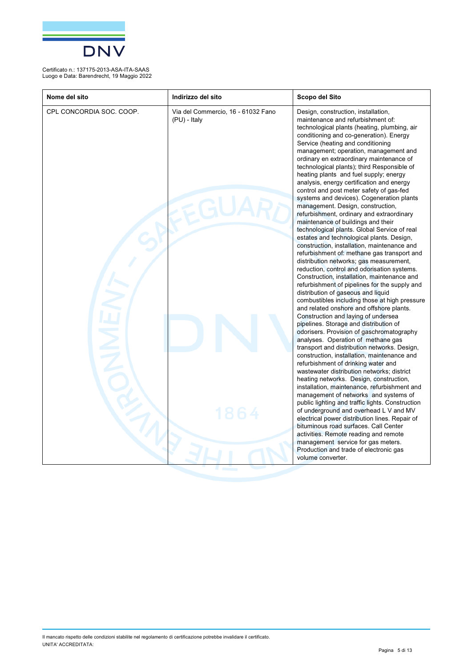

| Nome del sito            | Indirizzo del sito                                 | Scopo del Sito                                                                                                                                                                                                                                                                                                                                                                                                                                                                                                                                                                                                                                                                                                                                                                                                                                                                                                                                                                                                                                                                                                                                                                                                                                                                                                                                                                                                                                                                                                                                                                                                                                                                                                                                                                                                                                                                                                                                                                                                  |
|--------------------------|----------------------------------------------------|-----------------------------------------------------------------------------------------------------------------------------------------------------------------------------------------------------------------------------------------------------------------------------------------------------------------------------------------------------------------------------------------------------------------------------------------------------------------------------------------------------------------------------------------------------------------------------------------------------------------------------------------------------------------------------------------------------------------------------------------------------------------------------------------------------------------------------------------------------------------------------------------------------------------------------------------------------------------------------------------------------------------------------------------------------------------------------------------------------------------------------------------------------------------------------------------------------------------------------------------------------------------------------------------------------------------------------------------------------------------------------------------------------------------------------------------------------------------------------------------------------------------------------------------------------------------------------------------------------------------------------------------------------------------------------------------------------------------------------------------------------------------------------------------------------------------------------------------------------------------------------------------------------------------------------------------------------------------------------------------------------------------|
| CPL CONCORDIA SOC. COOP. | Via del Commercio, 16 - 61032 Fano<br>(PU) - Italy | Design, construction, installation,<br>maintenance and refurbishment of:<br>technological plants (heating, plumbing, air<br>conditioning and co-generation). Energy<br>Service (heating and conditioning<br>management; operation, management and<br>ordinary en extraordinary maintenance of<br>technological plants); third Responsible of<br>heating plants and fuel supply; energy<br>analysis, energy certification and energy<br>control and post meter safety of gas-fed<br>systems and devices). Cogeneration plants<br>management. Design, construction,<br>refurbishment, ordinary and extraordinary<br>maintenance of buildings and their<br>technological plants. Global Service of real<br>estates and technological plants. Design,<br>construction, installation, maintenance and<br>refurbishment of: methane gas transport and<br>distribution networks; gas measurement,<br>reduction, control and odorisation systems.<br>Construction, installation, maintenance and<br>refurbishment of pipelines for the supply and<br>distribution of gaseous and liquid<br>combustibles including those at high pressure<br>and related onshore and offshore plants.<br>Construction and laying of undersea<br>pipelines. Storage and distribution of<br>odorisers. Provision of gaschromatography<br>analyses. Operation of methane gas<br>transport and distribution networks. Design,<br>construction, installation, maintenance and<br>refurbishment of drinking water and<br>wastewater distribution networks; district<br>heating networks. Design, construction,<br>installation, maintenance, refurbishment and<br>management of networks and systems of<br>public lighting and traffic lights. Construction<br>of underground and overhead L V and MV<br>electrical power distribution lines. Repair of<br>bituminous road surfaces. Call Center<br>activities. Remote reading and remote<br>management service for gas meters.<br>Production and trade of electronic gas<br>volume converter. |
|                          |                                                    |                                                                                                                                                                                                                                                                                                                                                                                                                                                                                                                                                                                                                                                                                                                                                                                                                                                                                                                                                                                                                                                                                                                                                                                                                                                                                                                                                                                                                                                                                                                                                                                                                                                                                                                                                                                                                                                                                                                                                                                                                 |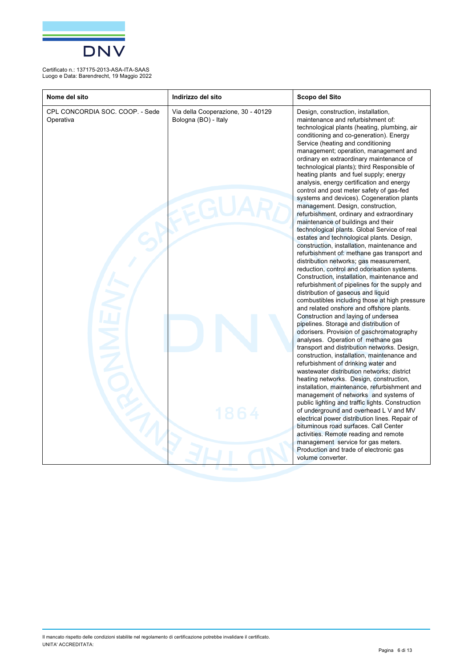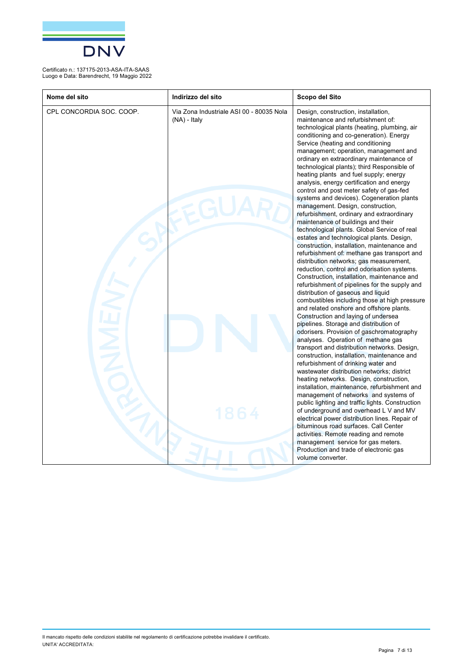

| Nome del sito            | Indirizzo del sito                                         | Scopo del Sito                                                                                                                                                                                                                                                                                                                                                                                                                                                                                                                                                                                                                                                                                                                                                                                                                                                                                                                                                                                                                                                                                                                                                                                                                                                                                                                                                                                                                                                                                                                                                                                                                                                                                                                                                                                                                                                                                                                                                                                                  |
|--------------------------|------------------------------------------------------------|-----------------------------------------------------------------------------------------------------------------------------------------------------------------------------------------------------------------------------------------------------------------------------------------------------------------------------------------------------------------------------------------------------------------------------------------------------------------------------------------------------------------------------------------------------------------------------------------------------------------------------------------------------------------------------------------------------------------------------------------------------------------------------------------------------------------------------------------------------------------------------------------------------------------------------------------------------------------------------------------------------------------------------------------------------------------------------------------------------------------------------------------------------------------------------------------------------------------------------------------------------------------------------------------------------------------------------------------------------------------------------------------------------------------------------------------------------------------------------------------------------------------------------------------------------------------------------------------------------------------------------------------------------------------------------------------------------------------------------------------------------------------------------------------------------------------------------------------------------------------------------------------------------------------------------------------------------------------------------------------------------------------|
| CPL CONCORDIA SOC. COOP. | Via Zona Industriale ASI 00 - 80035 Nola<br>$(NA)$ - Italy | Design, construction, installation,<br>maintenance and refurbishment of:<br>technological plants (heating, plumbing, air<br>conditioning and co-generation). Energy<br>Service (heating and conditioning<br>management; operation, management and<br>ordinary en extraordinary maintenance of<br>technological plants); third Responsible of<br>heating plants and fuel supply; energy<br>analysis, energy certification and energy<br>control and post meter safety of gas-fed<br>systems and devices). Cogeneration plants<br>management. Design, construction,<br>refurbishment, ordinary and extraordinary<br>maintenance of buildings and their<br>technological plants. Global Service of real<br>estates and technological plants. Design,<br>construction, installation, maintenance and<br>refurbishment of: methane gas transport and<br>distribution networks; gas measurement,<br>reduction, control and odorisation systems.<br>Construction, installation, maintenance and<br>refurbishment of pipelines for the supply and<br>distribution of gaseous and liquid<br>combustibles including those at high pressure<br>and related onshore and offshore plants.<br>Construction and laying of undersea<br>pipelines. Storage and distribution of<br>odorisers. Provision of gaschromatography<br>analyses. Operation of methane gas<br>transport and distribution networks. Design,<br>construction, installation, maintenance and<br>refurbishment of drinking water and<br>wastewater distribution networks; district<br>heating networks. Design, construction,<br>installation, maintenance, refurbishment and<br>management of networks and systems of<br>public lighting and traffic lights. Construction<br>of underground and overhead L V and MV<br>electrical power distribution lines. Repair of<br>bituminous road surfaces. Call Center<br>activities. Remote reading and remote<br>management service for gas meters.<br>Production and trade of electronic gas<br>volume converter. |
|                          |                                                            |                                                                                                                                                                                                                                                                                                                                                                                                                                                                                                                                                                                                                                                                                                                                                                                                                                                                                                                                                                                                                                                                                                                                                                                                                                                                                                                                                                                                                                                                                                                                                                                                                                                                                                                                                                                                                                                                                                                                                                                                                 |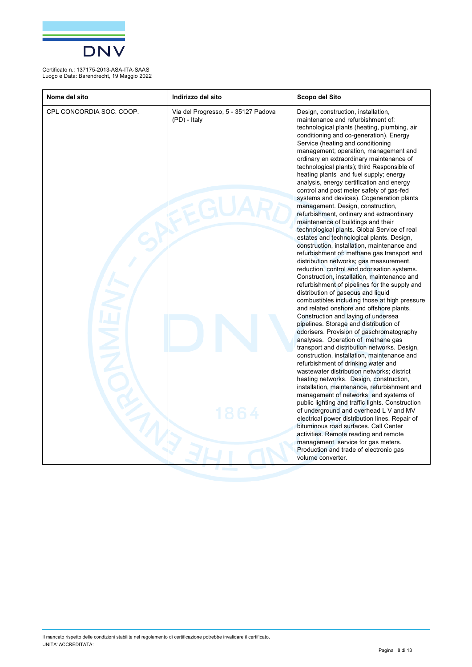

| Nome del sito            | Indirizzo del sito                                  | Scopo del Sito                                                                                                                                                                                                                                                                                                                                                                                                                                                                                                                                                                                                                                                                                                                                                                                                                                                                                                                                                                                                                                                                                                                                                                                                                                                                                                                                                                                                                                                                                                                                                                                                                                                                                                                                                                                                                                                                                                                                                                                                  |
|--------------------------|-----------------------------------------------------|-----------------------------------------------------------------------------------------------------------------------------------------------------------------------------------------------------------------------------------------------------------------------------------------------------------------------------------------------------------------------------------------------------------------------------------------------------------------------------------------------------------------------------------------------------------------------------------------------------------------------------------------------------------------------------------------------------------------------------------------------------------------------------------------------------------------------------------------------------------------------------------------------------------------------------------------------------------------------------------------------------------------------------------------------------------------------------------------------------------------------------------------------------------------------------------------------------------------------------------------------------------------------------------------------------------------------------------------------------------------------------------------------------------------------------------------------------------------------------------------------------------------------------------------------------------------------------------------------------------------------------------------------------------------------------------------------------------------------------------------------------------------------------------------------------------------------------------------------------------------------------------------------------------------------------------------------------------------------------------------------------------------|
| CPL CONCORDIA SOC. COOP. | Via del Progresso, 5 - 35127 Padova<br>(PD) - Italy | Design, construction, installation,<br>maintenance and refurbishment of:<br>technological plants (heating, plumbing, air<br>conditioning and co-generation). Energy<br>Service (heating and conditioning<br>management; operation, management and<br>ordinary en extraordinary maintenance of<br>technological plants); third Responsible of<br>heating plants and fuel supply; energy<br>analysis, energy certification and energy<br>control and post meter safety of gas-fed<br>systems and devices). Cogeneration plants<br>management. Design, construction,<br>refurbishment, ordinary and extraordinary<br>maintenance of buildings and their<br>technological plants. Global Service of real<br>estates and technological plants. Design,<br>construction, installation, maintenance and<br>refurbishment of: methane gas transport and<br>distribution networks; gas measurement,<br>reduction, control and odorisation systems.<br>Construction, installation, maintenance and<br>refurbishment of pipelines for the supply and<br>distribution of gaseous and liquid<br>combustibles including those at high pressure<br>and related onshore and offshore plants.<br>Construction and laying of undersea<br>pipelines. Storage and distribution of<br>odorisers. Provision of gaschromatography<br>analyses. Operation of methane gas<br>transport and distribution networks. Design,<br>construction, installation, maintenance and<br>refurbishment of drinking water and<br>wastewater distribution networks; district<br>heating networks. Design, construction,<br>installation, maintenance, refurbishment and<br>management of networks and systems of<br>public lighting and traffic lights. Construction<br>of underground and overhead L V and MV<br>electrical power distribution lines. Repair of<br>bituminous road surfaces. Call Center<br>activities. Remote reading and remote<br>management service for gas meters.<br>Production and trade of electronic gas<br>volume converter. |
|                          |                                                     |                                                                                                                                                                                                                                                                                                                                                                                                                                                                                                                                                                                                                                                                                                                                                                                                                                                                                                                                                                                                                                                                                                                                                                                                                                                                                                                                                                                                                                                                                                                                                                                                                                                                                                                                                                                                                                                                                                                                                                                                                 |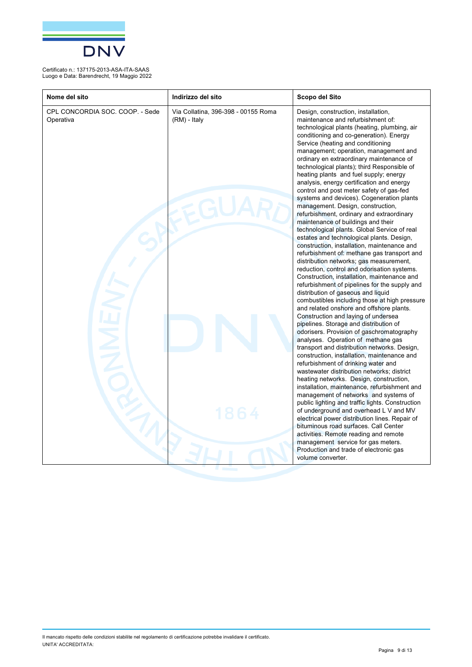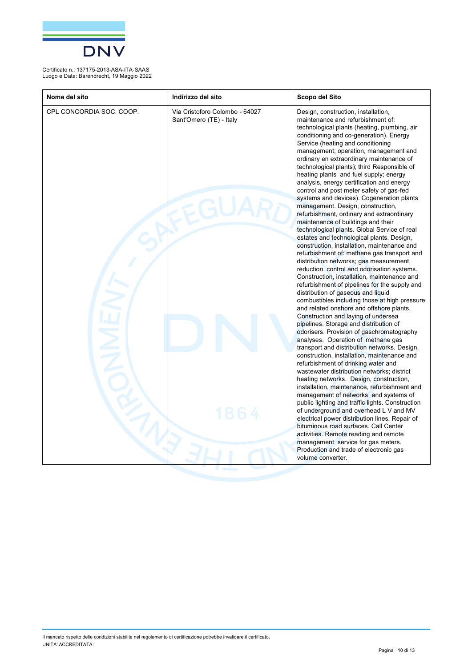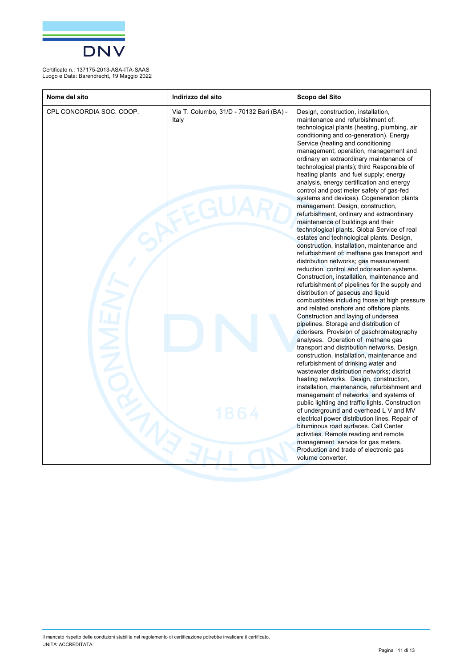

| Nome del sito            | Indirizzo del sito                                | Scopo del Sito                                                                                                                                                                                                                                                                                                                                                                                                                                                                                                                                                                                                                                                                                                                                                                                                                                                                                                                                                                                                                                                                                                                                                                                                                                                                                                                                                                                                                                                                                                                                                                                                                                                                                                                                                                                                                                                                                                                                                                                                  |
|--------------------------|---------------------------------------------------|-----------------------------------------------------------------------------------------------------------------------------------------------------------------------------------------------------------------------------------------------------------------------------------------------------------------------------------------------------------------------------------------------------------------------------------------------------------------------------------------------------------------------------------------------------------------------------------------------------------------------------------------------------------------------------------------------------------------------------------------------------------------------------------------------------------------------------------------------------------------------------------------------------------------------------------------------------------------------------------------------------------------------------------------------------------------------------------------------------------------------------------------------------------------------------------------------------------------------------------------------------------------------------------------------------------------------------------------------------------------------------------------------------------------------------------------------------------------------------------------------------------------------------------------------------------------------------------------------------------------------------------------------------------------------------------------------------------------------------------------------------------------------------------------------------------------------------------------------------------------------------------------------------------------------------------------------------------------------------------------------------------------|
| CPL CONCORDIA SOC. COOP. | Via T. Columbo, 31/D - 70132 Bari (BA) -<br>Italy | Design, construction, installation,<br>maintenance and refurbishment of:<br>technological plants (heating, plumbing, air<br>conditioning and co-generation). Energy<br>Service (heating and conditioning<br>management; operation, management and<br>ordinary en extraordinary maintenance of<br>technological plants); third Responsible of<br>heating plants and fuel supply; energy<br>analysis, energy certification and energy<br>control and post meter safety of gas-fed<br>systems and devices). Cogeneration plants<br>management. Design, construction,<br>refurbishment, ordinary and extraordinary<br>maintenance of buildings and their<br>technological plants. Global Service of real<br>estates and technological plants. Design,<br>construction, installation, maintenance and<br>refurbishment of: methane gas transport and<br>distribution networks; gas measurement,<br>reduction, control and odorisation systems.<br>Construction, installation, maintenance and<br>refurbishment of pipelines for the supply and<br>distribution of gaseous and liquid<br>combustibles including those at high pressure<br>and related onshore and offshore plants.<br>Construction and laying of undersea<br>pipelines. Storage and distribution of<br>odorisers. Provision of gaschromatography<br>analyses. Operation of methane gas<br>transport and distribution networks. Design,<br>construction, installation, maintenance and<br>refurbishment of drinking water and<br>wastewater distribution networks; district<br>heating networks. Design, construction,<br>installation, maintenance, refurbishment and<br>management of networks and systems of<br>public lighting and traffic lights. Construction<br>of underground and overhead L V and MV<br>electrical power distribution lines. Repair of<br>bituminous road surfaces. Call Center<br>activities. Remote reading and remote<br>management service for gas meters.<br>Production and trade of electronic gas<br>volume converter. |
|                          |                                                   |                                                                                                                                                                                                                                                                                                                                                                                                                                                                                                                                                                                                                                                                                                                                                                                                                                                                                                                                                                                                                                                                                                                                                                                                                                                                                                                                                                                                                                                                                                                                                                                                                                                                                                                                                                                                                                                                                                                                                                                                                 |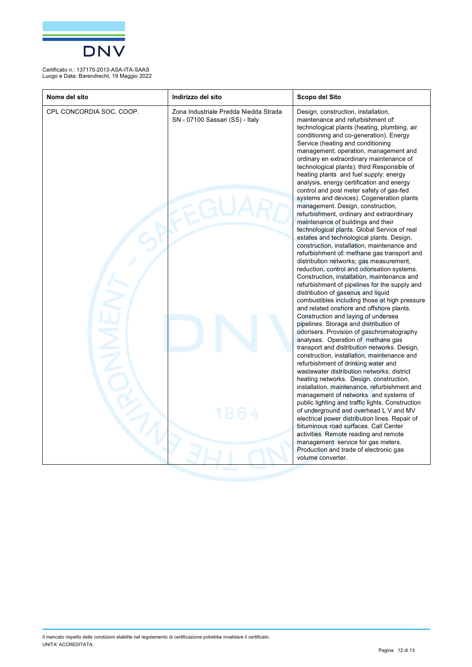

| Nome del sito            | Indirizzo del sito                                                       | Scopo del Sito                                                                                                                                                                                                                                                                                                                                                                                                                                                                                                                                                                                                                                                                                                                                                                                                                                                                                                                                                                                                                                                                                                                                                                                                                                                                                                                                                                                                                                                                                                                                                                                                                                                                                                                                                                                                                                                                                                                                                                                                  |
|--------------------------|--------------------------------------------------------------------------|-----------------------------------------------------------------------------------------------------------------------------------------------------------------------------------------------------------------------------------------------------------------------------------------------------------------------------------------------------------------------------------------------------------------------------------------------------------------------------------------------------------------------------------------------------------------------------------------------------------------------------------------------------------------------------------------------------------------------------------------------------------------------------------------------------------------------------------------------------------------------------------------------------------------------------------------------------------------------------------------------------------------------------------------------------------------------------------------------------------------------------------------------------------------------------------------------------------------------------------------------------------------------------------------------------------------------------------------------------------------------------------------------------------------------------------------------------------------------------------------------------------------------------------------------------------------------------------------------------------------------------------------------------------------------------------------------------------------------------------------------------------------------------------------------------------------------------------------------------------------------------------------------------------------------------------------------------------------------------------------------------------------|
| CPL CONCORDIA SOC. COOP. | Zona Industriale Predda Niedda Strada<br>SN - 07100 Sassari (SS) - Italy | Design, construction, installation,<br>maintenance and refurbishment of:<br>technological plants (heating, plumbing, air<br>conditioning and co-generation). Energy<br>Service (heating and conditioning<br>management; operation, management and<br>ordinary en extraordinary maintenance of<br>technological plants); third Responsible of<br>heating plants and fuel supply; energy<br>analysis, energy certification and energy<br>control and post meter safety of gas-fed<br>systems and devices). Cogeneration plants<br>management. Design, construction,<br>refurbishment, ordinary and extraordinary<br>maintenance of buildings and their<br>technological plants. Global Service of real<br>estates and technological plants. Design,<br>construction, installation, maintenance and<br>refurbishment of: methane gas transport and<br>distribution networks; gas measurement,<br>reduction, control and odorisation systems.<br>Construction, installation, maintenance and<br>refurbishment of pipelines for the supply and<br>distribution of gaseous and liquid<br>combustibles including those at high pressure<br>and related onshore and offshore plants.<br>Construction and laying of undersea<br>pipelines. Storage and distribution of<br>odorisers. Provision of gaschromatography<br>analyses. Operation of methane gas<br>transport and distribution networks. Design,<br>construction, installation, maintenance and<br>refurbishment of drinking water and<br>wastewater distribution networks; district<br>heating networks. Design, construction,<br>installation, maintenance, refurbishment and<br>management of networks and systems of<br>public lighting and traffic lights. Construction<br>of underground and overhead L V and MV<br>electrical power distribution lines. Repair of<br>bituminous road surfaces. Call Center<br>activities. Remote reading and remote<br>management service for gas meters.<br>Production and trade of electronic gas<br>volume converter. |
|                          |                                                                          |                                                                                                                                                                                                                                                                                                                                                                                                                                                                                                                                                                                                                                                                                                                                                                                                                                                                                                                                                                                                                                                                                                                                                                                                                                                                                                                                                                                                                                                                                                                                                                                                                                                                                                                                                                                                                                                                                                                                                                                                                 |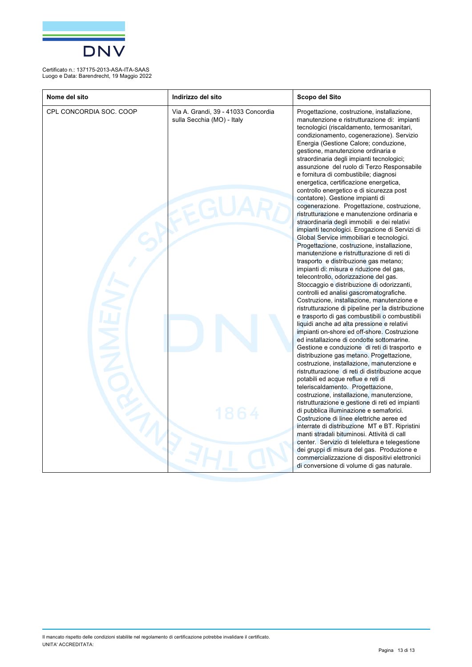

| Nome del sito           | Indirizzo del sito                                                | Scopo del Sito                                                                                                                                                                                                                                                                                                                                                                                                                                                                                                                                                                                                                                                                                                                                                                                                                                                                                                                                                                                                                                                                                                                                                                                                                                                                                                                                                                                                                                                                                                                                                                                                                                                                                                                                                                                                                                                                                                                                                                                                                                                                                                                                                  |
|-------------------------|-------------------------------------------------------------------|-----------------------------------------------------------------------------------------------------------------------------------------------------------------------------------------------------------------------------------------------------------------------------------------------------------------------------------------------------------------------------------------------------------------------------------------------------------------------------------------------------------------------------------------------------------------------------------------------------------------------------------------------------------------------------------------------------------------------------------------------------------------------------------------------------------------------------------------------------------------------------------------------------------------------------------------------------------------------------------------------------------------------------------------------------------------------------------------------------------------------------------------------------------------------------------------------------------------------------------------------------------------------------------------------------------------------------------------------------------------------------------------------------------------------------------------------------------------------------------------------------------------------------------------------------------------------------------------------------------------------------------------------------------------------------------------------------------------------------------------------------------------------------------------------------------------------------------------------------------------------------------------------------------------------------------------------------------------------------------------------------------------------------------------------------------------------------------------------------------------------------------------------------------------|
| CPL CONCORDIA SOC. COOP | Via A. Grandi, 39 - 41033 Concordia<br>sulla Secchia (MO) - Italy | Progettazione, costruzione, installazione,<br>manutenzione e ristrutturazione di: impianti<br>tecnologici (riscaldamento, termosanitari,<br>condizionamento, cogenerazione). Servizio<br>Energia (Gestione Calore; conduzione,<br>gestione, manutenzione ordinaria e<br>straordinaria degli impianti tecnologici;<br>assunzione del ruolo di Terzo Responsabile<br>e fornitura di combustibile; diagnosi<br>energetica, certificazione energetica,<br>controllo energetico e di sicurezza post<br>contatore). Gestione impianti di<br>cogenerazione. Progettazione, costruzione,<br>ristrutturazione e manutenzione ordinaria e<br>straordinaria degli immobili e dei relativi<br>impianti tecnologici. Erogazione di Servizi di<br>Global Service immobiliari e tecnologici.<br>Progettazione, costruzione, installazione,<br>manutenzione e ristrutturazione di reti di<br>trasporto e distribuzione gas metano;<br>impianti di: misura e riduzione del gas,<br>telecontrollo, odorizzazione del gas.<br>Stoccaggio e distribuzione di odorizzanti,<br>controlli ed analisi gascromatografiche.<br>Costruzione, installazione, manutenzione e<br>ristrutturazione di pipeline per la distribuzione<br>e trasporto di gas combustibili o combustibili<br>liquidi anche ad alta pressione e relativi<br>impianti on-shore ed off-shore. Costruzione<br>ed installazione di condotte sottomarine.<br>Gestione e conduzione di reti di trasporto e<br>distribuzione gas metano. Progettazione,<br>costruzione, installazione, manutenzione e<br>ristrutturazione di reti di distribuzione acque<br>potabili ed acque reflue e reti di<br>teleriscaldamento. Progettazione,<br>costruzione, installazione, manutenzione,<br>ristrutturazione e gestione di reti ed impianti<br>di pubblica illuminazione e semaforici.<br>Costruzione di linee elettriche aeree ed<br>interrate di distribuzione MT e BT. Ripristini<br>manti stradali bituminosi. Attività di call<br>center. Servizio di telelettura e telegestione<br>dei gruppi di misura del gas. Produzione e<br>commercializzazione di dispositivi elettronici<br>di conversione di volume di gas naturale. |
|                         |                                                                   |                                                                                                                                                                                                                                                                                                                                                                                                                                                                                                                                                                                                                                                                                                                                                                                                                                                                                                                                                                                                                                                                                                                                                                                                                                                                                                                                                                                                                                                                                                                                                                                                                                                                                                                                                                                                                                                                                                                                                                                                                                                                                                                                                                 |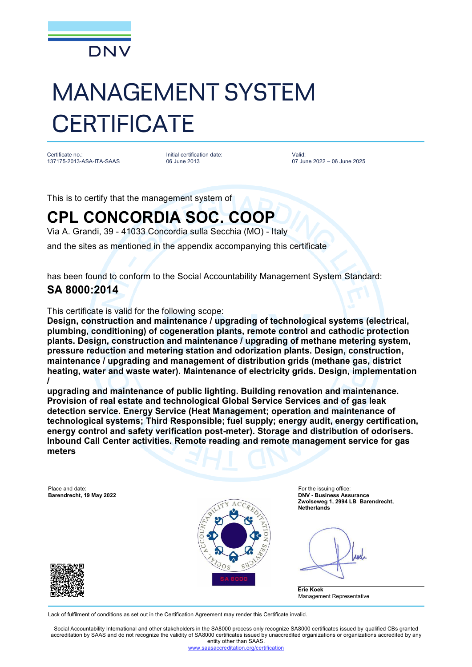

# MANAGEMENT SYSTEM **CERTIFICATE**

Certificate no.: 137175-2013-ASA-ITA-SAAS

Initial certification date: 06 June 2013

Valid: 07 June 2022 – 06 June 2025

This is to certify that the management system of

## **CPL CONCORDIA SOC. COOP**

Via A. Grandi, 39 - 41033 Concordia sulla Secchia (MO) - Italy

and the sites as mentioned in the appendix accompanying this certificate

has been found to conform to the Social Accountability Management System Standard:

### **SA 8000:2014**

This certificate is valid for the following scope:

**Design, construction and maintenance / upgrading of technological systems (electrical, plumbing, conditioning) of cogeneration plants, remote control and cathodic protection plants. Design, construction and maintenance / upgrading of methane metering system, pressure reduction and metering station and odorization plants. Design, construction, maintenance / upgrading and management of distribution grids (methane gas, district heating, water and waste water). Maintenance of electricity grids. Design, implementation /**

**upgrading and maintenance of public lighting. Building renovation and maintenance. Provision of real estate and technological Global Service Services and of gas leak detection service. Energy Service (Heat Management; operation and maintenance of technological systems; Third Responsible; fuel supply; energy audit, energy certification, energy control and safety verification post-meter). Storage and distribution of odorisers. Inbound Call Center activities. Remote reading and remote management service for gas meters**

Place and date: For the issuing office:



**Barendrecht, 19 May 2022 DNV - Business Assurance Zwolseweg 1, 2994 LB Barendrecht, Netherlands**

Anel

**Erie Koek** Management Representative

Lack of fulfilment of conditions as set out in the Certification Agreement may render this Certificate invalid.

Social Accountability International and other stakeholders in the SA8000 process only recognize SA8000 certificates issued by qualified CBs granted accreditation by SAAS and do not recognize the validity of SA8000 certificates issued by unaccredited organizations or organizations accredited by any entity other than SAAS.

editation.org/certification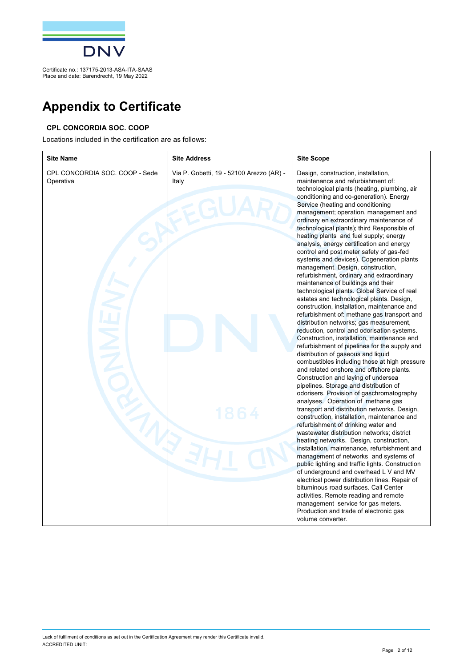

## **Appendix to Certificate**

#### **CPL CONCORDIA SOC. COOP**

Locations included in the certification are as follows:

| <b>Site Name</b>                            | <b>Site Address</b>                               | <b>Site Scope</b>                                                                                                                                                                                                                                                                                                                                                                                                                                                                                                                                                                                                                                                                                                                                                                                                                                                                                                                                                                                                                                                                                                                                                                                                                                                                                                                                                                                                                                                                                                                                                                                                                                                                                                                                                                                                                                                                                                                                |
|---------------------------------------------|---------------------------------------------------|--------------------------------------------------------------------------------------------------------------------------------------------------------------------------------------------------------------------------------------------------------------------------------------------------------------------------------------------------------------------------------------------------------------------------------------------------------------------------------------------------------------------------------------------------------------------------------------------------------------------------------------------------------------------------------------------------------------------------------------------------------------------------------------------------------------------------------------------------------------------------------------------------------------------------------------------------------------------------------------------------------------------------------------------------------------------------------------------------------------------------------------------------------------------------------------------------------------------------------------------------------------------------------------------------------------------------------------------------------------------------------------------------------------------------------------------------------------------------------------------------------------------------------------------------------------------------------------------------------------------------------------------------------------------------------------------------------------------------------------------------------------------------------------------------------------------------------------------------------------------------------------------------------------------------------------------------|
| CPL CONCORDIA SOC. COOP - Sede<br>Operativa | Via P. Gobetti, 19 - 52100 Arezzo (AR) -<br>Italy | Design, construction, installation,<br>maintenance and refurbishment of:<br>technological plants (heating, plumbing, air<br>conditioning and co-generation). Energy<br>Service (heating and conditioning<br>management; operation, management and<br>ordinary en extraordinary maintenance of<br>technological plants); third Responsible of<br>heating plants and fuel supply; energy<br>analysis, energy certification and energy<br>control and post meter safety of gas-fed<br>systems and devices). Cogeneration plants<br>management. Design, construction,<br>refurbishment, ordinary and extraordinary<br>maintenance of buildings and their<br>technological plants. Global Service of real<br>estates and technological plants. Design,<br>construction, installation, maintenance and<br>refurbishment of: methane gas transport and<br>distribution networks; gas measurement,<br>reduction, control and odorisation systems.<br>Construction, installation, maintenance and<br>refurbishment of pipelines for the supply and<br>distribution of gaseous and liquid<br>combustibles including those at high pressure<br>and related onshore and offshore plants.<br>Construction and laying of undersea<br>pipelines. Storage and distribution of<br>odorisers. Provision of gaschromatography<br>analyses. Operation of methane gas<br>transport and distribution networks. Design,<br>construction, installation, maintenance and<br>refurbishment of drinking water and<br>wastewater distribution networks; district<br>heating networks. Design, construction,<br>installation, maintenance, refurbishment and<br>management of networks and systems of<br>public lighting and traffic lights. Construction<br>of underground and overhead L V and MV<br>electrical power distribution lines. Repair of<br>bituminous road surfaces. Call Center<br>activities. Remote reading and remote<br>management service for gas meters. |
|                                             |                                                   | Production and trade of electronic gas<br>volume converter.                                                                                                                                                                                                                                                                                                                                                                                                                                                                                                                                                                                                                                                                                                                                                                                                                                                                                                                                                                                                                                                                                                                                                                                                                                                                                                                                                                                                                                                                                                                                                                                                                                                                                                                                                                                                                                                                                      |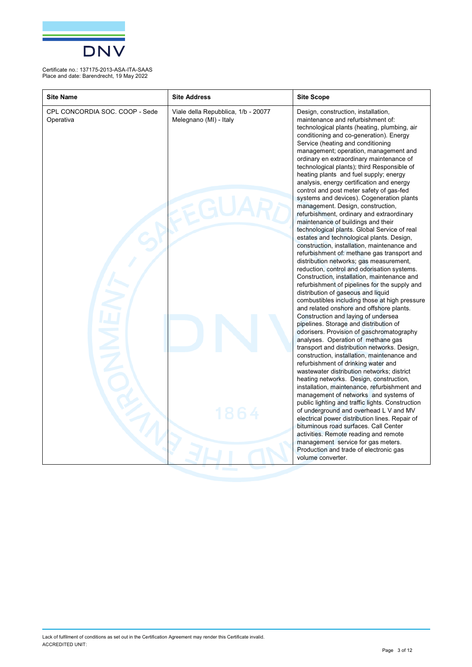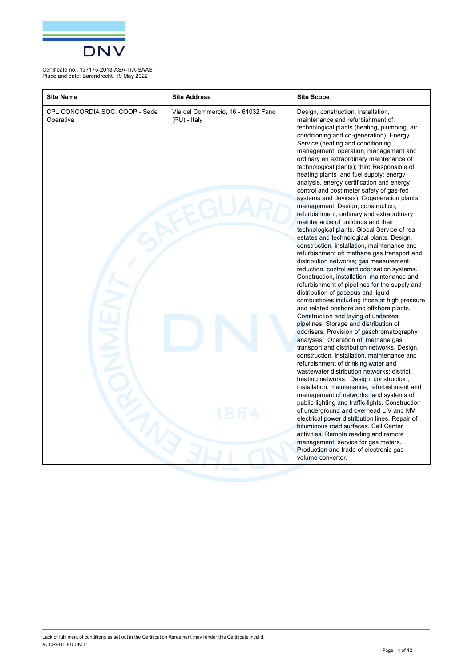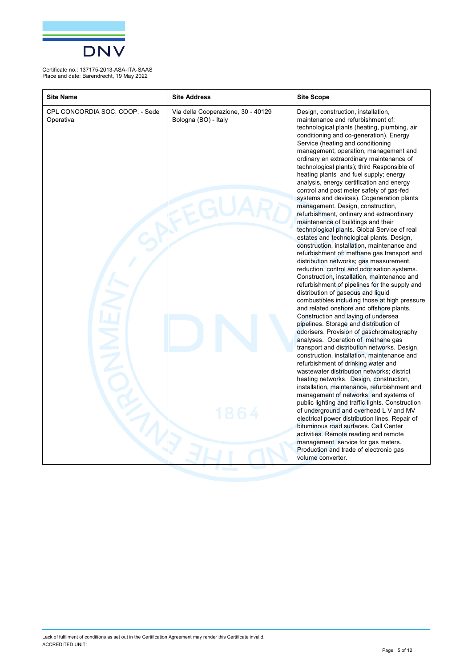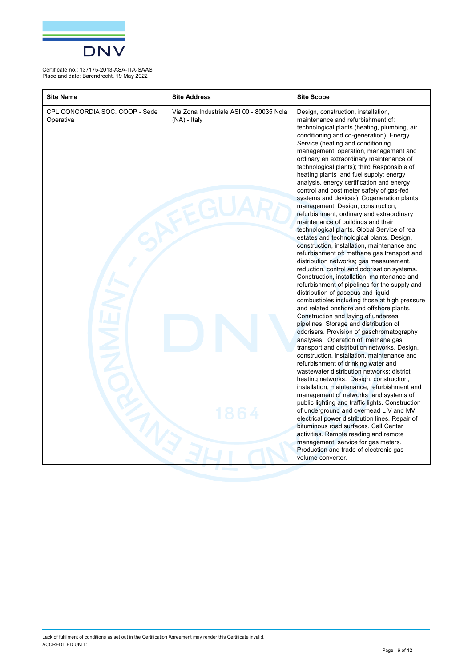

| <b>Site Name</b>                            | <b>Site Address</b>                                        | <b>Site Scope</b>                                                                                                                                                                                                                                                                                                                                                                                                                                                                                                                                                                                                                                                                                                                                                                                                                                                                                                                                                                                                                                                                                                                                                                                                                                                                                                                                                                                                                                                                                                                                                                                                                                                                                                                                                                                                                                                                                                                                                                                               |
|---------------------------------------------|------------------------------------------------------------|-----------------------------------------------------------------------------------------------------------------------------------------------------------------------------------------------------------------------------------------------------------------------------------------------------------------------------------------------------------------------------------------------------------------------------------------------------------------------------------------------------------------------------------------------------------------------------------------------------------------------------------------------------------------------------------------------------------------------------------------------------------------------------------------------------------------------------------------------------------------------------------------------------------------------------------------------------------------------------------------------------------------------------------------------------------------------------------------------------------------------------------------------------------------------------------------------------------------------------------------------------------------------------------------------------------------------------------------------------------------------------------------------------------------------------------------------------------------------------------------------------------------------------------------------------------------------------------------------------------------------------------------------------------------------------------------------------------------------------------------------------------------------------------------------------------------------------------------------------------------------------------------------------------------------------------------------------------------------------------------------------------------|
| CPL CONCORDIA SOC. COOP - Sede<br>Operativa | Via Zona Industriale ASI 00 - 80035 Nola<br>$(NA)$ - Italy | Design, construction, installation,<br>maintenance and refurbishment of:<br>technological plants (heating, plumbing, air<br>conditioning and co-generation). Energy<br>Service (heating and conditioning<br>management; operation, management and<br>ordinary en extraordinary maintenance of<br>technological plants); third Responsible of<br>heating plants and fuel supply; energy<br>analysis, energy certification and energy<br>control and post meter safety of gas-fed<br>systems and devices). Cogeneration plants<br>management. Design, construction,<br>refurbishment, ordinary and extraordinary<br>maintenance of buildings and their<br>technological plants. Global Service of real<br>estates and technological plants. Design,<br>construction, installation, maintenance and<br>refurbishment of: methane gas transport and<br>distribution networks; gas measurement,<br>reduction, control and odorisation systems.<br>Construction, installation, maintenance and<br>refurbishment of pipelines for the supply and<br>distribution of gaseous and liquid<br>combustibles including those at high pressure<br>and related onshore and offshore plants.<br>Construction and laying of undersea<br>pipelines. Storage and distribution of<br>odorisers. Provision of gaschromatography<br>analyses. Operation of methane gas<br>transport and distribution networks. Design,<br>construction, installation, maintenance and<br>refurbishment of drinking water and<br>wastewater distribution networks; district<br>heating networks. Design, construction,<br>installation, maintenance, refurbishment and<br>management of networks and systems of<br>public lighting and traffic lights. Construction<br>of underground and overhead L V and MV<br>electrical power distribution lines. Repair of<br>bituminous road surfaces. Call Center<br>activities. Remote reading and remote<br>management service for gas meters.<br>Production and trade of electronic gas<br>volume converter. |
|                                             |                                                            |                                                                                                                                                                                                                                                                                                                                                                                                                                                                                                                                                                                                                                                                                                                                                                                                                                                                                                                                                                                                                                                                                                                                                                                                                                                                                                                                                                                                                                                                                                                                                                                                                                                                                                                                                                                                                                                                                                                                                                                                                 |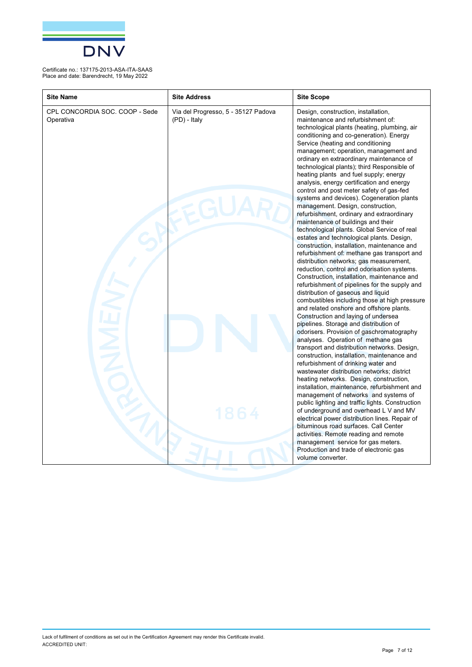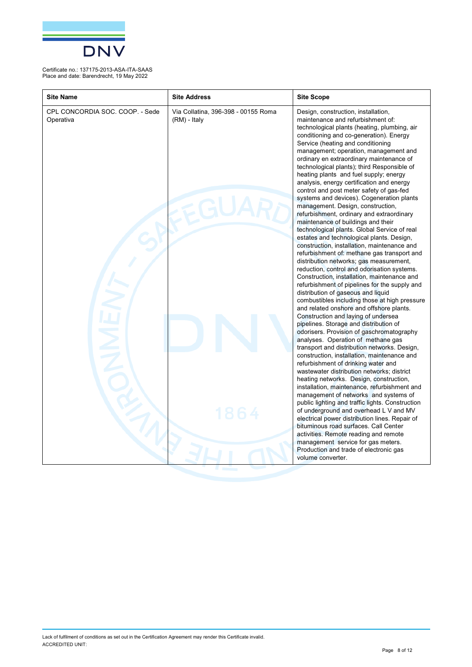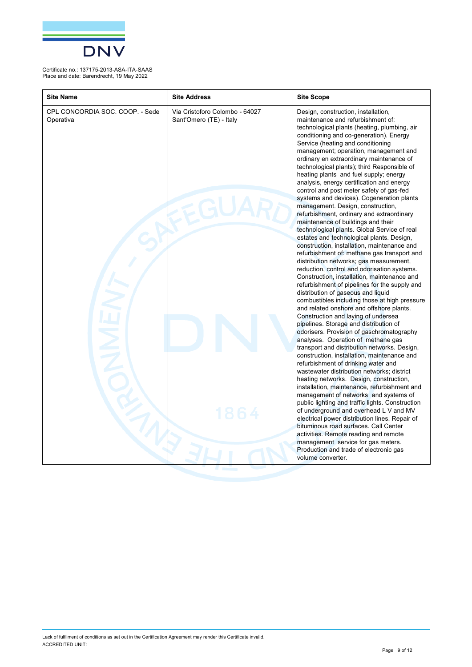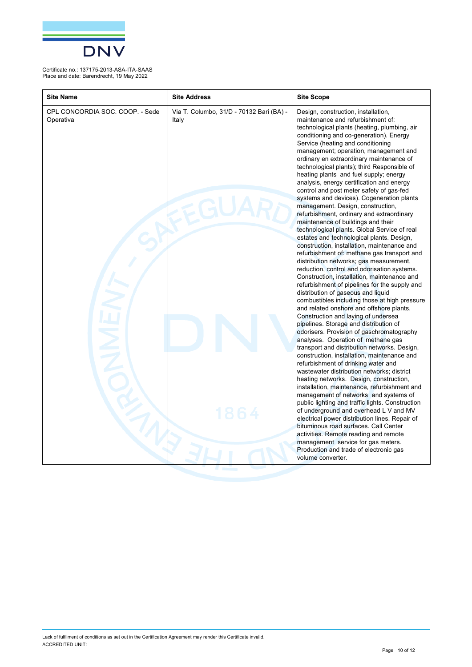

| <b>Site Name</b>                             | <b>Site Address</b>                               | <b>Site Scope</b>                                                                                                                                                                                                                                                                                                                                                                                                                                                                                                                                                                                                                                                                                                                                                                                                                                                                                                                                                                                                                                                                                                                                                                                                                                                                                                                                                                                                                                                                                                                                                                                                                                                                                                                                                                                                                                                                                                                                                                                               |
|----------------------------------------------|---------------------------------------------------|-----------------------------------------------------------------------------------------------------------------------------------------------------------------------------------------------------------------------------------------------------------------------------------------------------------------------------------------------------------------------------------------------------------------------------------------------------------------------------------------------------------------------------------------------------------------------------------------------------------------------------------------------------------------------------------------------------------------------------------------------------------------------------------------------------------------------------------------------------------------------------------------------------------------------------------------------------------------------------------------------------------------------------------------------------------------------------------------------------------------------------------------------------------------------------------------------------------------------------------------------------------------------------------------------------------------------------------------------------------------------------------------------------------------------------------------------------------------------------------------------------------------------------------------------------------------------------------------------------------------------------------------------------------------------------------------------------------------------------------------------------------------------------------------------------------------------------------------------------------------------------------------------------------------------------------------------------------------------------------------------------------------|
| CPL CONCORDIA SOC. COOP. - Sede<br>Operativa | Via T. Columbo, 31/D - 70132 Bari (BA) -<br>Italy | Design, construction, installation,<br>maintenance and refurbishment of:<br>technological plants (heating, plumbing, air<br>conditioning and co-generation). Energy<br>Service (heating and conditioning<br>management; operation, management and<br>ordinary en extraordinary maintenance of<br>technological plants); third Responsible of<br>heating plants and fuel supply; energy<br>analysis, energy certification and energy<br>control and post meter safety of gas-fed<br>systems and devices). Cogeneration plants<br>management. Design, construction,<br>refurbishment, ordinary and extraordinary<br>maintenance of buildings and their<br>technological plants. Global Service of real<br>estates and technological plants. Design,<br>construction, installation, maintenance and<br>refurbishment of: methane gas transport and<br>distribution networks; gas measurement,<br>reduction, control and odorisation systems.<br>Construction, installation, maintenance and<br>refurbishment of pipelines for the supply and<br>distribution of gaseous and liquid<br>combustibles including those at high pressure<br>and related onshore and offshore plants.<br>Construction and laying of undersea<br>pipelines. Storage and distribution of<br>odorisers. Provision of gaschromatography<br>analyses. Operation of methane gas<br>transport and distribution networks. Design,<br>construction, installation, maintenance and<br>refurbishment of drinking water and<br>wastewater distribution networks; district<br>heating networks. Design, construction,<br>installation, maintenance, refurbishment and<br>management of networks and systems of<br>public lighting and traffic lights. Construction<br>of underground and overhead L V and MV<br>electrical power distribution lines. Repair of<br>bituminous road surfaces. Call Center<br>activities. Remote reading and remote<br>management service for gas meters.<br>Production and trade of electronic gas<br>volume converter. |
|                                              |                                                   |                                                                                                                                                                                                                                                                                                                                                                                                                                                                                                                                                                                                                                                                                                                                                                                                                                                                                                                                                                                                                                                                                                                                                                                                                                                                                                                                                                                                                                                                                                                                                                                                                                                                                                                                                                                                                                                                                                                                                                                                                 |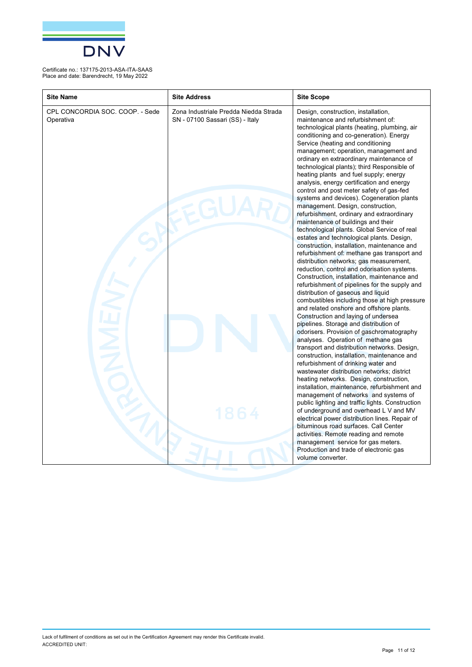